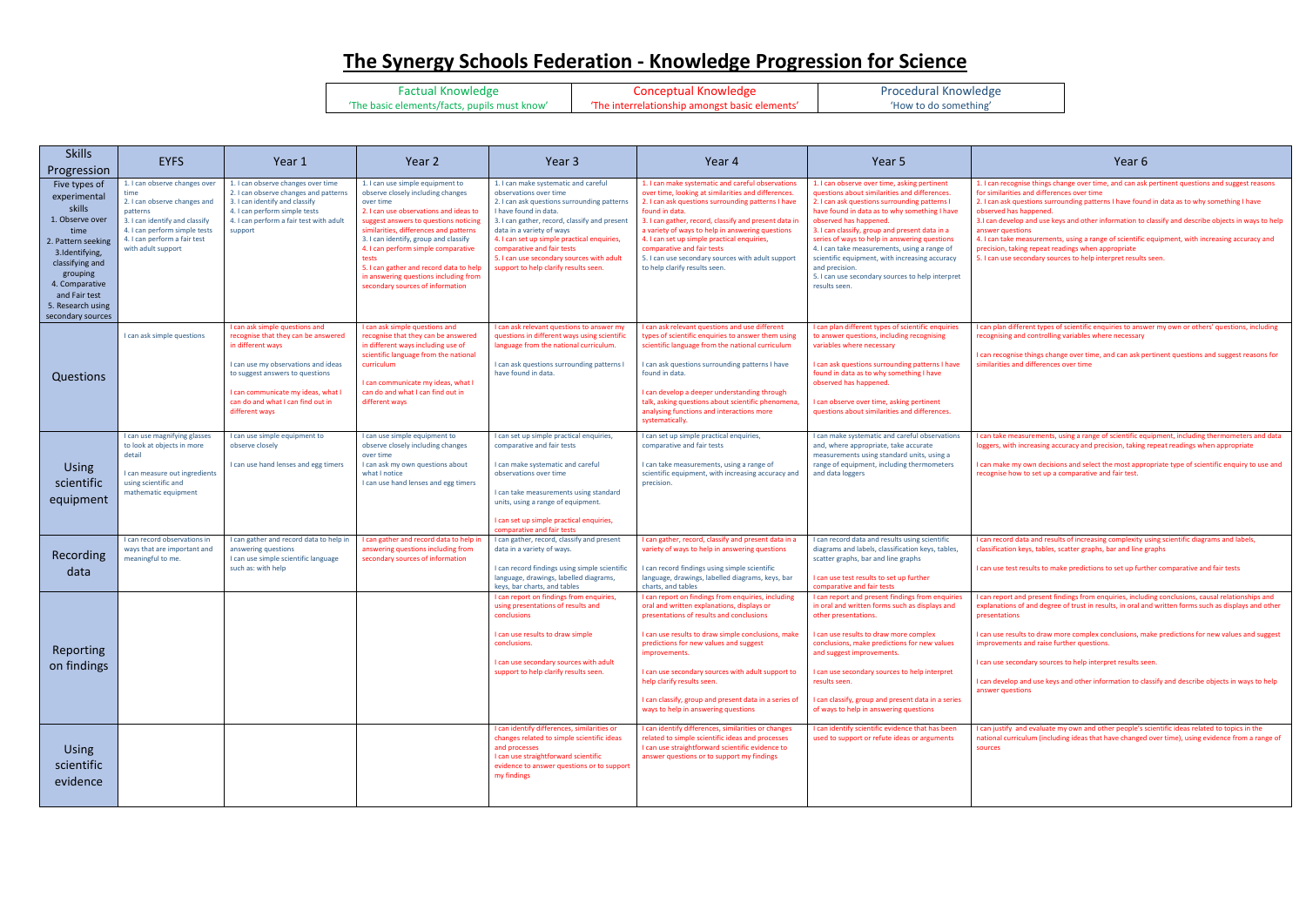## **The Synergy Schools Federation - Knowledge Progression for Science**

Factual Knowledge 'The basic elements/facts, pupils must know'

Conceptual Knowledge 'The interrelationship amongst basic elements'

Procedural Knowledge 'How to do something'

| <b>Skills</b><br>Progression                                                                                                                                                                                           | <b>EYFS</b>                                                                                                                                                                                                | Year 1                                                                                                                                                                                                                                                            | Year 2                                                                                                                                                                                                                                                                                                                                                                                                                           | Year <sub>3</sub>                                                                                                                                                                                                                                                                                                                                                                       | Year 4                                                                                                                                                                                                                                                                                                                                                                                                                                                                                    | Year <sub>5</sub>                                                                                                                                                                                                                                                                                                                                                                                                                                                                                                     | Year <sub>6</sub>                                                                                                                                                                                                                                                                                                                                                                                                                                    |
|------------------------------------------------------------------------------------------------------------------------------------------------------------------------------------------------------------------------|------------------------------------------------------------------------------------------------------------------------------------------------------------------------------------------------------------|-------------------------------------------------------------------------------------------------------------------------------------------------------------------------------------------------------------------------------------------------------------------|----------------------------------------------------------------------------------------------------------------------------------------------------------------------------------------------------------------------------------------------------------------------------------------------------------------------------------------------------------------------------------------------------------------------------------|-----------------------------------------------------------------------------------------------------------------------------------------------------------------------------------------------------------------------------------------------------------------------------------------------------------------------------------------------------------------------------------------|-------------------------------------------------------------------------------------------------------------------------------------------------------------------------------------------------------------------------------------------------------------------------------------------------------------------------------------------------------------------------------------------------------------------------------------------------------------------------------------------|-----------------------------------------------------------------------------------------------------------------------------------------------------------------------------------------------------------------------------------------------------------------------------------------------------------------------------------------------------------------------------------------------------------------------------------------------------------------------------------------------------------------------|------------------------------------------------------------------------------------------------------------------------------------------------------------------------------------------------------------------------------------------------------------------------------------------------------------------------------------------------------------------------------------------------------------------------------------------------------|
| Five types of<br>experimental<br>skills<br>1. Observe over<br>time<br>2. Pattern seeking<br>3.Identifying,<br>classifying and<br>grouping<br>4. Comparative<br>and Fair test<br>5. Research using<br>secondary sources | 1. I can observe changes over<br>time<br>2. I can observe changes and<br>patterns<br>3. I can identify and classify<br>4. I can perform simple tests<br>4. I can perform a fair test<br>with adult support | 1. I can observe changes over time<br>2. I can observe changes and patterns<br>3. I can identify and classify<br>4. I can perform simple tests<br>4. I can perform a fair test with adult<br>support                                                              | 1. I can use simple equipment to<br>observe closely including changes<br>over time<br>2. I can use observations and ideas to<br>suggest answers to questions noticing<br>similarities, differences and patterns<br>3. I can identify, group and classify<br>4. I can perform simple comparative<br>tests<br>5. I can gather and record data to help<br>in answering questions including from<br>secondary sources of information | 1. I can make systematic and careful<br>observations over time<br>2. I can ask questions surrounding patterns<br>I have found in data.<br>3. I can gather, record, classify and present<br>data in a variety of ways<br>4. I can set up simple practical enquiries,<br>comparative and fair tests<br>5. I can use secondary sources with adult<br>support to help clarify results seen. | 1. I can make systematic and careful observations<br>over time, looking at similarities and differences.<br>2. I can ask questions surrounding patterns I have<br>found in data.<br>3. I can gather, record, classify and present data ir<br>a variety of ways to help in answering questions<br>4. I can set up simple practical enquiries,<br>comparative and fair tests<br>5. I can use secondary sources with adult support<br>to help clarify results seen.                          | 1. I can observe over time, asking pertinent<br>questions about similarities and differences.<br>2. I can ask questions surrounding patterns I<br>have found in data as to why something I have<br>observed has happened.<br>3. I can classify, group and present data in a<br>series of ways to help in answering questions<br>4. I can take measurements, using a range of<br>scientific equipment, with increasing accuracy<br>and precision.<br>5. I can use secondary sources to help interpret<br>results seen. | 1. I can recognise things change over time, and can ask<br>for similarities and differences over time<br>2. I can ask questions surrounding patterns I have foun<br>observed has happened.<br>3.1 can develop and use keys and other information to<br>answer questions<br>4. I can take measurements, using a range of scientific<br>precision, taking repeat readings when appropriate<br>5. I can use secondary sources to help interpret results |
| Questions                                                                                                                                                                                                              | I can ask simple questions                                                                                                                                                                                 | I can ask simple questions and<br>recognise that they can be answered<br>in different ways<br>I can use my observations and ideas<br>to suggest answers to questions<br>I can communicate my ideas, what I<br>can do and what I can find out in<br>different ways | I can ask simple questions and<br>recognise that they can be answered<br>in different ways including use of<br>scientific language from the national<br>curriculum<br>I can communicate my ideas, what I<br>can do and what I can find out in<br>different ways                                                                                                                                                                  | I can ask relevant questions to answer my<br>questions in different ways using scientific<br>language from the national curriculum.<br>I can ask questions surrounding patterns I<br>have found in data.                                                                                                                                                                                | I can ask relevant questions and use different<br>types of scientific enquiries to answer them using<br>scientific language from the national curriculum<br>I can ask questions surrounding patterns I have<br>found in data.<br>I can develop a deeper understanding through<br>talk, asking questions about scientific phenomena<br>analysing functions and interactions more<br>systematically.                                                                                        | I can plan different types of scientific enquiries<br>to answer questions, including recognising<br>variables where necessary<br>I can ask questions surrounding patterns I have<br>found in data as to why something I have<br>observed has happened.<br>I can observe over time, asking pertinent<br>questions about similarities and differences.                                                                                                                                                                  | can plan different types of scientific enquiries to answ<br>recognising and controlling variables where necessary<br>I can recognise things change over time, and can ask po<br>similarities and differences over time                                                                                                                                                                                                                               |
| <b>Using</b><br>scientific<br>equipment                                                                                                                                                                                | I can use magnifying glasses<br>to look at objects in more<br>detail<br>I can measure out ingredients<br>using scientific and<br>mathematic equipment                                                      | I can use simple equipment to<br>observe closely<br>I can use hand lenses and egg timers                                                                                                                                                                          | I can use simple equipment to<br>observe closely including changes<br>over time<br>I can ask my own questions about<br>what I notice<br>I can use hand lenses and egg timers                                                                                                                                                                                                                                                     | I can set up simple practical enquiries,<br>comparative and fair tests<br>I can make systematic and careful<br>observations over time<br>I can take measurements using standard<br>units, using a range of equipment.<br>I can set up simple practical enquiries,<br>comparative and fair tests                                                                                         | I can set up simple practical enquiries,<br>comparative and fair tests<br>I can take measurements, using a range of<br>scientific equipment, with increasing accuracy and<br>precision.                                                                                                                                                                                                                                                                                                   | I can make systematic and careful observations<br>and, where appropriate, take accurate<br>measurements using standard units, using a<br>range of equipment, including thermometers<br>and data loggers                                                                                                                                                                                                                                                                                                               | I can take measurements, using a range of scientific eq<br>loggers, with increasing accuracy and precision, taking<br>I can make my own decisions and select the most appr<br>recognise how to set up a comparative and fair test.                                                                                                                                                                                                                   |
| Recording<br>data                                                                                                                                                                                                      | I can record observations in<br>ways that are important and<br>meaningful to me.                                                                                                                           | I can gather and record data to help in<br>answering questions<br>I can use simple scientific language<br>such as: with help                                                                                                                                      | I can gather and record data to help in<br>answering questions including from<br>secondary sources of information                                                                                                                                                                                                                                                                                                                | I can gather, record, classify and present<br>data in a variety of ways.<br>I can record findings using simple scientific<br>language, drawings, labelled diagrams,<br>keys, bar charts, and tables                                                                                                                                                                                     | I can gather, record, classify and present data in a<br>variety of ways to help in answering questions<br>I can record findings using simple scientific<br>language, drawings, labelled diagrams, keys, bar<br>charts, and tables                                                                                                                                                                                                                                                         | I can record data and results using scientific<br>diagrams and labels, classification keys, tables,<br>scatter graphs, bar and line graphs<br>I can use test results to set up further<br>comparative and fair tests                                                                                                                                                                                                                                                                                                  | I can record data and results of increasing complexity u<br>classification keys, tables, scatter graphs, bar and line g<br>I can use test results to make predictions to set up furt                                                                                                                                                                                                                                                                 |
| Reporting<br>on findings                                                                                                                                                                                               |                                                                                                                                                                                                            |                                                                                                                                                                                                                                                                   |                                                                                                                                                                                                                                                                                                                                                                                                                                  | I can report on findings from enquiries,<br>using presentations of results and<br>conclusions<br>I can use results to draw simple<br>conclusions.<br>I can use secondary sources with adult<br>support to help clarify results seen.                                                                                                                                                    | I can report on findings from enquiries, including<br>oral and written explanations, displays or<br>presentations of results and conclusions<br>I can use results to draw simple conclusions, make   I can use results to draw more complex<br>predictions for new values and suggest<br>improvements.<br>I can use secondary sources with adult support to<br>help clarify results seen.<br>I can classify, group and present data in a series of<br>ways to help in answering questions | I can report and present findings from enquiries<br>in oral and written forms such as displays and<br>other presentations.<br>conclusions, make predictions for new values<br>and suggest improvements.<br>can use secondary sources to help interpret<br>results seen.<br>I can classify, group and present data in a series<br>of ways to help in answering questions                                                                                                                                               | I can report and present findings from enquiries, includ<br>explanations of and degree of trust in results, in oral are<br>presentations<br>I can use results to draw more complex conclusions, m<br>improvements and raise further questions.<br>I can use secondary sources to help interpret results se<br>I can develop and use keys and other information to cla<br>answer questions                                                            |
| <b>Using</b><br>scientific<br>evidence                                                                                                                                                                                 |                                                                                                                                                                                                            |                                                                                                                                                                                                                                                                   |                                                                                                                                                                                                                                                                                                                                                                                                                                  | I can identify differences, similarities or<br>changes related to simple scientific ideas<br>and processes<br>I can use straightforward scientific<br>evidence to answer questions or to support<br>my findings                                                                                                                                                                         | I can identify differences, similarities or changes<br>related to simple scientific ideas and processes<br>I can use straightforward scientific evidence to<br>answer questions or to support my findings                                                                                                                                                                                                                                                                                 | I can identify scientific evidence that has been<br>used to support or refute ideas or arguments                                                                                                                                                                                                                                                                                                                                                                                                                      | I can justify and evaluate my own and other people's s<br>national curriculum (including ideas that have changed<br>sources                                                                                                                                                                                                                                                                                                                          |



- I can recognise things change over time, and can ask pertinent questions and suggest reasons similarities and differences over time
- I can ask questions surrounding patterns I have found in data as to why something I have served has happened.
- can develop and use keys and other information to classify and describe objects in ways to help swer questions
- can take measurements, using a range of scientific equipment, with increasing accuracy and ecision, taking repeat readings when appropriate
- can use secondary sources to help interpret results seen.

I can plan different types of scientific enquiries to answer my own or others' questions, including ognising and controlling variables where necessary

In recognise things change over time, and can ask pertinent questions and suggest reasons for silarities and differences over time

an take measurements, using a range of scientific equipment, including thermometers and data gers, with increasing accuracy and precision, taking repeat readings when appropriate

n make my own decisions and select the most appropriate type of scientific enquiry to use and cognise how to set up a comparative and fair test.

In record data and results of increasing complexity using scientific diagrams and labels, ssification keys, tables, scatter graphs, bar and line graphs

an use test results to make predictions to set up further comparative and fair tests

an report and present findings from enquiries, including conclusions, causal relationships and planations of and degree of trust in results, in oral and written forms such as displays and other sentations

an use results to draw more complex conclusions, make predictions for new values and suggest provements and raise further questions.

In use secondary sources to help interpret results seen.

In develop and use keys and other information to classify and describe objects in ways to help swer questions

In justify and evaluate my own and other people's scientific ideas related to topics in the tional curriculum (including ideas that have changed over time), using evidence from a range of urces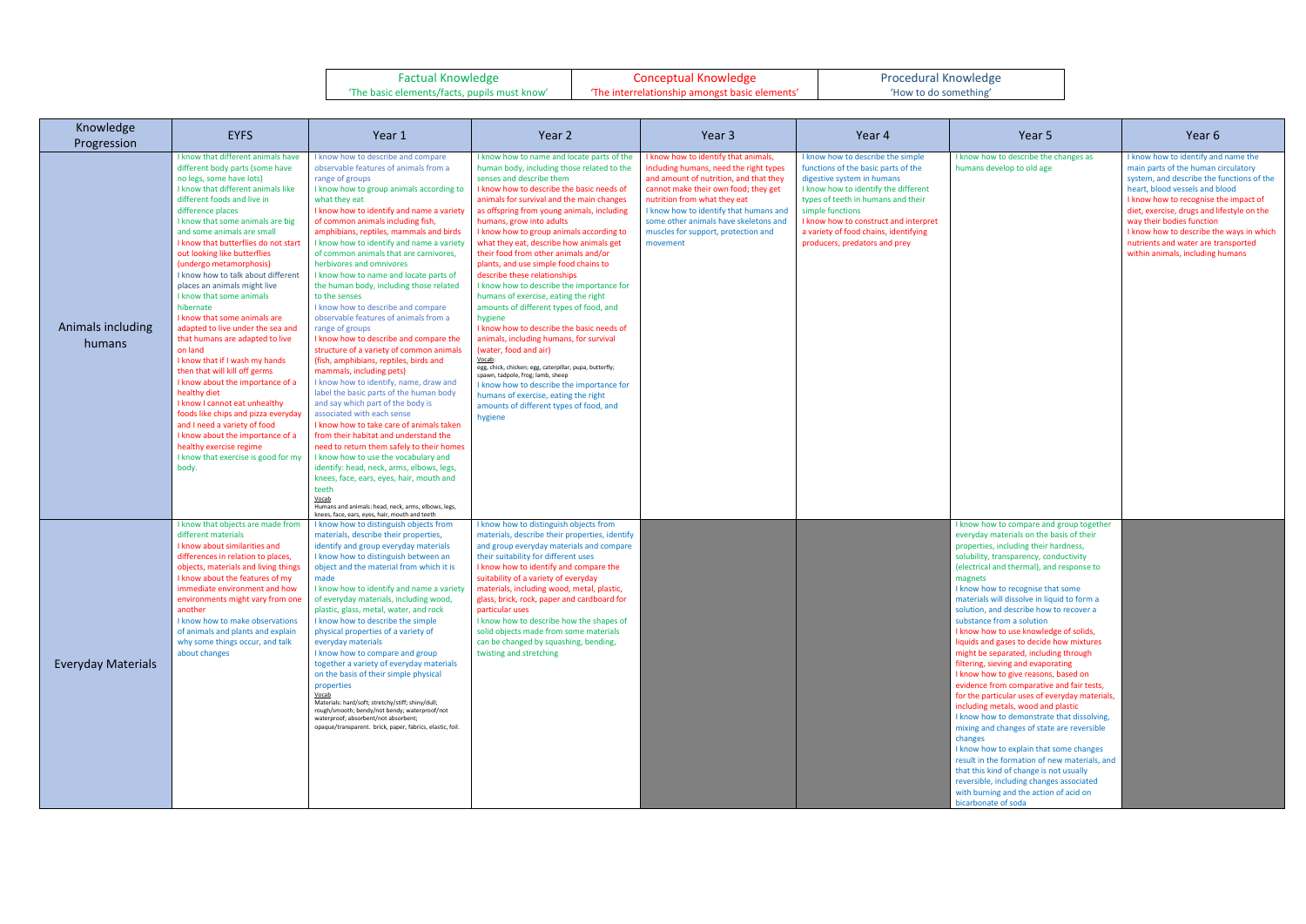| <b>Factual Knowledge</b>                     | <b>Conceptual Knowledge</b>                    | <b>Procedural Knowledg</b> |  |
|----------------------------------------------|------------------------------------------------|----------------------------|--|
| 'The basic elements/facts, pupils must know' | 'The interrelationship amongst basic elements' | 'How to do something'      |  |



| Knowledge<br>Progression    | <b>EYFS</b>                                                                                                                                                                                                                                                                                                                                                                                                                                                                                                                                                                                                                                                                                                                                                                                                                                                                                                                                      | Year 1                                                                                                                                                                                                                                                                                                                                                                                                                                                                                                                                                                                                                                                                                                                                                                                                                                                                                                                                                                                                                                                                                                                                                                                                                                                                              | Year 2                                                                                                                                                                                                                                                                                                                                                                                                                                                                                                                                                                                                                                                                                                                                                                                                                                                                                                                                                                                                            | Year 3                                                                                                                                                                                                                                                                                                                              | Year 4                                                                                                                                                                                                                                                                                                                      | Year 5                                                                                                                                                                                                                                                                                                                                                                                                                                                                                                                                                                                                                                                                                                                                                                                                                                                                                                                                                                                                                                                                                                   | Year 6                                                                                                                                                                                                                                                                                                                                                                                               |
|-----------------------------|--------------------------------------------------------------------------------------------------------------------------------------------------------------------------------------------------------------------------------------------------------------------------------------------------------------------------------------------------------------------------------------------------------------------------------------------------------------------------------------------------------------------------------------------------------------------------------------------------------------------------------------------------------------------------------------------------------------------------------------------------------------------------------------------------------------------------------------------------------------------------------------------------------------------------------------------------|-------------------------------------------------------------------------------------------------------------------------------------------------------------------------------------------------------------------------------------------------------------------------------------------------------------------------------------------------------------------------------------------------------------------------------------------------------------------------------------------------------------------------------------------------------------------------------------------------------------------------------------------------------------------------------------------------------------------------------------------------------------------------------------------------------------------------------------------------------------------------------------------------------------------------------------------------------------------------------------------------------------------------------------------------------------------------------------------------------------------------------------------------------------------------------------------------------------------------------------------------------------------------------------|-------------------------------------------------------------------------------------------------------------------------------------------------------------------------------------------------------------------------------------------------------------------------------------------------------------------------------------------------------------------------------------------------------------------------------------------------------------------------------------------------------------------------------------------------------------------------------------------------------------------------------------------------------------------------------------------------------------------------------------------------------------------------------------------------------------------------------------------------------------------------------------------------------------------------------------------------------------------------------------------------------------------|-------------------------------------------------------------------------------------------------------------------------------------------------------------------------------------------------------------------------------------------------------------------------------------------------------------------------------------|-----------------------------------------------------------------------------------------------------------------------------------------------------------------------------------------------------------------------------------------------------------------------------------------------------------------------------|----------------------------------------------------------------------------------------------------------------------------------------------------------------------------------------------------------------------------------------------------------------------------------------------------------------------------------------------------------------------------------------------------------------------------------------------------------------------------------------------------------------------------------------------------------------------------------------------------------------------------------------------------------------------------------------------------------------------------------------------------------------------------------------------------------------------------------------------------------------------------------------------------------------------------------------------------------------------------------------------------------------------------------------------------------------------------------------------------------|------------------------------------------------------------------------------------------------------------------------------------------------------------------------------------------------------------------------------------------------------------------------------------------------------------------------------------------------------------------------------------------------------|
| Animals including<br>humans | I know that different animals have<br>different body parts (some have<br>no legs, some have lots)<br>I know that different animals like<br>different foods and live in<br>difference places<br>I know that some animals are big<br>and some animals are small<br>I know that butterflies do not start<br>out looking like butterflies<br>(undergo metamorphosis)<br>I know how to talk about different<br>places an animals might live<br>I know that some animals<br>hibernate<br>I know that some animals are<br>adapted to live under the sea and<br>that humans are adapted to live<br>on land<br>I know that if I wash my hands<br>then that will kill off germs<br>I know about the importance of a<br>healthy diet<br>I know I cannot eat unhealthy<br>foods like chips and pizza everyday<br>and I need a variety of food<br>I know about the importance of a<br>healthy exercise regime<br>I know that exercise is good for my<br>body. | I know how to describe and compare<br>observable features of animals from a<br>range of groups<br>I know how to group animals according to<br>what they eat<br>I know how to identify and name a variety<br>of common animals including fish,<br>amphibians, reptiles, mammals and birds<br>I know how to identify and name a variety<br>of common animals that are carnivores.<br>herbivores and omnivores<br>I know how to name and locate parts of<br>the human body, including those related<br>to the senses<br>I know how to describe and compare<br>observable features of animals from a<br>range of groups<br>I know how to describe and compare the<br>structure of a variety of common animals<br>(fish, amphibians, reptiles, birds and<br>mammals, including pets)<br>I know how to identify, name, draw and<br>label the basic parts of the human body<br>and say which part of the body is<br>associated with each sense<br>I know how to take care of animals taken<br>from their habitat and understand the<br>need to return them safely to their homes<br>I know how to use the vocabulary and<br>identify: head, neck, arms, elbows, legs,<br>knees, face, ears, eyes, hair, mouth and<br>teeth<br>Vocab<br>Humans and animals: head, neck, arms, elbows, legs, | I know how to name and locate parts of the<br>human body, including those related to the<br>senses and describe them<br>I know how to describe the basic needs of<br>animals for survival and the main changes<br>as offspring from young animals, including<br>humans, grow into adults<br>I know how to group animals according to<br>what they eat, describe how animals get<br>their food from other animals and/or<br>plants, and use simple food chains to<br>describe these relationships<br>I know how to describe the importance for<br>humans of exercise, eating the right<br>amounts of different types of food, and<br>hygiene<br>I know how to describe the basic needs of<br>animals, including humans, for survival<br>(water, food and air)<br>Vocab:<br>egg, chick, chicken; egg, caterpillar, pupa, butterfly;<br>spawn, tadpole, frog; lamb, sheep<br>I know how to describe the importance for<br>humans of exercise, eating the right<br>amounts of different types of food, and<br>hygiene | I know how to identify that animals,<br>ncluding humans, need the right types<br>and amount of nutrition, and that they<br>cannot make their own food; they get<br>nutrition from what they eat<br>know how to identify that humans and<br>some other animals have skeletons and<br>muscles for support, protection and<br>movement | I know how to describe the simple<br>functions of the basic parts of the<br>digestive system in humans<br>I know how to identify the different<br>types of teeth in humans and their<br>simple functions<br>I know how to construct and interpret<br>a variety of food chains, identifying<br>producers, predators and prey | I know how to describe the changes as<br>humans develop to old age                                                                                                                                                                                                                                                                                                                                                                                                                                                                                                                                                                                                                                                                                                                                                                                                                                                                                                                                                                                                                                       | I know how to identify and name the<br>main parts of the human circulatory<br>system, and describe the functions of the<br>heart, blood vessels and blood<br>I know how to recognise the impact of<br>diet, exercise, drugs and lifestyle on the<br>way their bodies function<br>I know how to describe the ways in which<br>nutrients and water are transported<br>within animals, including humans |
| <b>Everyday Materials</b>   | I know that objects are made from<br>different materials<br>I know about similarities and<br>differences in relation to places,<br>objects, materials and living things<br>I know about the features of my<br>immediate environment and how<br>environments might vary from one<br>another<br>I know how to make observations<br>of animals and plants and explain<br>why some things occur, and talk<br>about changes                                                                                                                                                                                                                                                                                                                                                                                                                                                                                                                           | knees, face, ears, eyes, hair, mouth and teeth<br>I know how to distinguish objects from<br>materials, describe their properties,<br>identify and group everyday materials<br>I know how to distinguish between an<br>object and the material from which it is<br>made<br>I know how to identify and name a variety<br>of everyday materials, including wood,<br>plastic, glass, metal, water, and rock<br>I know how to describe the simple<br>physical properties of a variety of<br>everyday materials<br>I know how to compare and group<br>together a variety of everyday materials<br>on the basis of their simple physical<br>properties<br>Vocab<br>Materials: hard/soft; stretchy/stiff; shiny/dull;<br>rough/smooth; bendy/not bendy; waterproof/not<br>waterproof; absorbent/not absorbent;<br>opaque/transparent. brick, paper, fabrics, elastic, foil.                                                                                                                                                                                                                                                                                                                                                                                                                 | I know how to distinguish objects from<br>materials, describe their properties, identify<br>and group everyday materials and compare<br>their suitability for different uses<br>I know how to identify and compare the<br>suitability of a variety of everyday<br>materials, including wood, metal, plastic,<br>glass, brick, rock, paper and cardboard for<br>particular uses<br>I know how to describe how the shapes of<br>solid objects made from some materials<br>can be changed by squashing, bending,<br>twisting and stretching                                                                                                                                                                                                                                                                                                                                                                                                                                                                          |                                                                                                                                                                                                                                                                                                                                     |                                                                                                                                                                                                                                                                                                                             | I know how to compare and group together<br>everyday materials on the basis of their<br>properties, including their hardness,<br>solubility, transparency, conductivity<br>(electrical and thermal), and response to<br>magnets<br>I know how to recognise that some<br>materials will dissolve in liquid to form a<br>solution, and describe how to recover a<br>substance from a solution<br>I know how to use knowledge of solids,<br>liquids and gases to decide how mixtures<br>might be separated, including through<br>filtering, sieving and evaporating<br>I know how to give reasons, based on<br>evidence from comparative and fair tests,<br>for the particular uses of everyday materials,<br>including metals, wood and plastic<br>I know how to demonstrate that dissolving,<br>mixing and changes of state are reversible<br>changes<br>I know how to explain that some changes<br>result in the formation of new materials, and<br>that this kind of change is not usually<br>reversible, including changes associated<br>with burning and the action of acid on<br>bicarbonate of soda |                                                                                                                                                                                                                                                                                                                                                                                                      |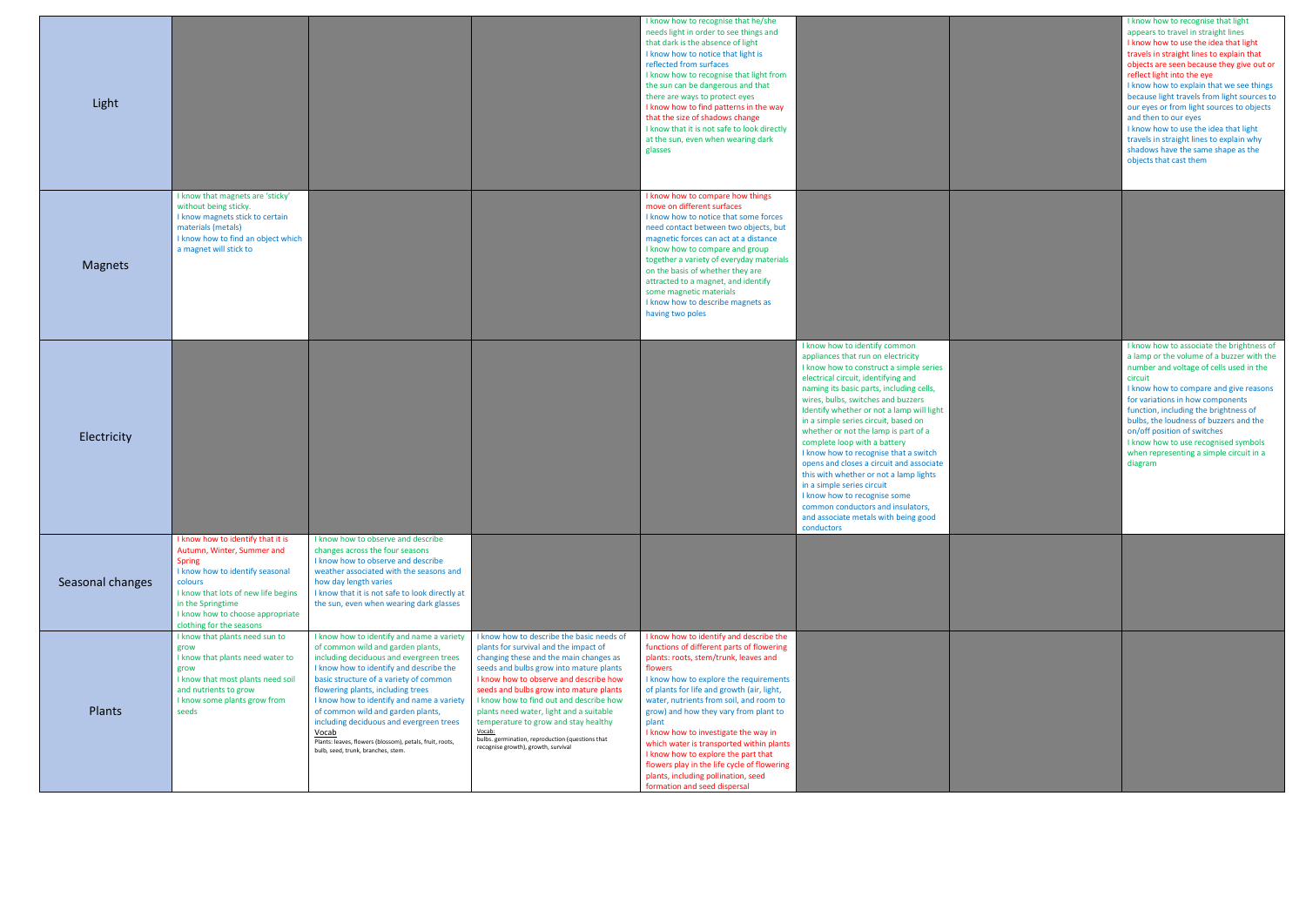| I know how to recognise that light<br>appears to travel in straight lines<br>I know how to use the idea that light<br>travels in straight lines to explain that<br>objects are seen because they give out or<br>reflect light into the eye<br>I know how to explain that we see things<br>because light travels from light sources to<br>our eyes or from light sources to objects<br>and then to our eyes<br>I know how to use the idea that light<br>travels in straight lines to explain why<br>shadows have the same shape as the<br>objects that cast them |
|-----------------------------------------------------------------------------------------------------------------------------------------------------------------------------------------------------------------------------------------------------------------------------------------------------------------------------------------------------------------------------------------------------------------------------------------------------------------------------------------------------------------------------------------------------------------|
|                                                                                                                                                                                                                                                                                                                                                                                                                                                                                                                                                                 |
| I know how to associate the brightness of<br>a lamp or the volume of a buzzer with the<br>number and voltage of cells used in the<br>circuit<br>I know how to compare and give reasons<br>for variations in how components<br>function, including the brightness of<br>bulbs, the loudness of buzzers and the<br>on/off position of switches<br>I know how to use recognised symbols<br>when representing a simple circuit in a<br>diagram                                                                                                                      |
|                                                                                                                                                                                                                                                                                                                                                                                                                                                                                                                                                                 |
|                                                                                                                                                                                                                                                                                                                                                                                                                                                                                                                                                                 |

| Light            |                                                                                                                                                                                                                                                            |                                                                                                                                                                                                                                                                                                                                                                                                                                                                                             |                                                                                                                                                                                                                                                                                                                                                                                                                                                                                                 | I know how to recognise that he/she<br>needs light in order to see things and<br>that dark is the absence of light<br>I know how to notice that light is<br>reflected from surfaces<br>I know how to recognise that light from<br>the sun can be dangerous and that<br>there are ways to protect eyes<br>I know how to find patterns in the way<br>that the size of shadows change<br>I know that it is not safe to look directly<br>at the sun, even when wearing dark<br>glasses                                                                                             |                                                                                                                                                                                                                                                                                                                                                                                                                                                                                                                                                                                                                                                                                              |
|------------------|------------------------------------------------------------------------------------------------------------------------------------------------------------------------------------------------------------------------------------------------------------|---------------------------------------------------------------------------------------------------------------------------------------------------------------------------------------------------------------------------------------------------------------------------------------------------------------------------------------------------------------------------------------------------------------------------------------------------------------------------------------------|-------------------------------------------------------------------------------------------------------------------------------------------------------------------------------------------------------------------------------------------------------------------------------------------------------------------------------------------------------------------------------------------------------------------------------------------------------------------------------------------------|--------------------------------------------------------------------------------------------------------------------------------------------------------------------------------------------------------------------------------------------------------------------------------------------------------------------------------------------------------------------------------------------------------------------------------------------------------------------------------------------------------------------------------------------------------------------------------|----------------------------------------------------------------------------------------------------------------------------------------------------------------------------------------------------------------------------------------------------------------------------------------------------------------------------------------------------------------------------------------------------------------------------------------------------------------------------------------------------------------------------------------------------------------------------------------------------------------------------------------------------------------------------------------------|
| <b>Magnets</b>   | I know that magnets are 'sticky'<br>without being sticky.<br>I know magnets stick to certain<br>materials (metals)<br>I know how to find an object which<br>a magnet will stick to                                                                         |                                                                                                                                                                                                                                                                                                                                                                                                                                                                                             |                                                                                                                                                                                                                                                                                                                                                                                                                                                                                                 | I know how to compare how things<br>move on different surfaces<br>I know how to notice that some forces<br>need contact between two objects, but<br>magnetic forces can act at a distance<br>I know how to compare and group<br>together a variety of everyday materials<br>on the basis of whether they are<br>attracted to a magnet, and identify<br>some magnetic materials<br>I know how to describe magnets as<br>having two poles                                                                                                                                        |                                                                                                                                                                                                                                                                                                                                                                                                                                                                                                                                                                                                                                                                                              |
| Electricity      |                                                                                                                                                                                                                                                            |                                                                                                                                                                                                                                                                                                                                                                                                                                                                                             |                                                                                                                                                                                                                                                                                                                                                                                                                                                                                                 |                                                                                                                                                                                                                                                                                                                                                                                                                                                                                                                                                                                | I know how to identify common<br>appliances that run on electricity<br>I know how to construct a simple series<br>electrical circuit, identifying and<br>naming its basic parts, including cells,<br>wires, bulbs, switches and buzzers<br>Identify whether or not a lamp will light<br>in a simple series circuit, based on<br>whether or not the lamp is part of a<br>complete loop with a battery<br>I know how to recognise that a switch<br>opens and closes a circuit and associate<br>this with whether or not a lamp lights<br>in a simple series circuit<br>I know how to recognise some<br>common conductors and insulators,<br>and associate metals with being good<br>conductors |
| Seasonal changes | I know how to identify that it is<br>Autumn, Winter, Summer and<br><b>Spring</b><br>I know how to identify seasonal<br>colours<br>I know that lots of new life begins<br>in the Springtime<br>I know how to choose appropriate<br>clothing for the seasons | I know how to observe and describe<br>changes across the four seasons<br>I know how to observe and describe<br>weather associated with the seasons and<br>how day length varies<br>I know that it is not safe to look directly at<br>the sun, even when wearing dark glasses                                                                                                                                                                                                                |                                                                                                                                                                                                                                                                                                                                                                                                                                                                                                 |                                                                                                                                                                                                                                                                                                                                                                                                                                                                                                                                                                                |                                                                                                                                                                                                                                                                                                                                                                                                                                                                                                                                                                                                                                                                                              |
| Plants           | I know that plants need sun to<br>grow<br>I know that plants need water to<br>grow<br>I know that most plants need soil<br>and nutrients to grow<br>I know some plants grow from<br>seeds                                                                  | I know how to identify and name a variety<br>of common wild and garden plants,<br>including deciduous and evergreen trees<br>I know how to identify and describe the<br>basic structure of a variety of common<br>flowering plants, including trees<br>I know how to identify and name a variety<br>of common wild and garden plants,<br>including deciduous and evergreen trees<br>Vocab<br>Plants: leaves, flowers (blossom), petals, fruit, roots,<br>bulb, seed, trunk, branches, stem. | I know how to describe the basic needs of<br>plants for survival and the impact of<br>changing these and the main changes as<br>seeds and bulbs grow into mature plants<br>I know how to observe and describe how<br>seeds and bulbs grow into mature plants<br>I know how to find out and describe how<br>plants need water, light and a suitable<br>temperature to grow and stay healthy<br>Vocab:<br>bulbs. germination, reproduction (questions that<br>recognise growth), growth, survival | I know how to identify and describe the<br>functions of different parts of flowering<br>plants: roots, stem/trunk, leaves and<br>flowers<br>I know how to explore the requirements<br>of plants for life and growth (air, light,<br>water, nutrients from soil, and room to<br>grow) and how they vary from plant to<br>plant<br>I know how to investigate the way in<br>which water is transported within plants<br>I know how to explore the part that<br>flowers play in the life cycle of flowering<br>plants, including pollination, seed<br>formation and seed dispersal |                                                                                                                                                                                                                                                                                                                                                                                                                                                                                                                                                                                                                                                                                              |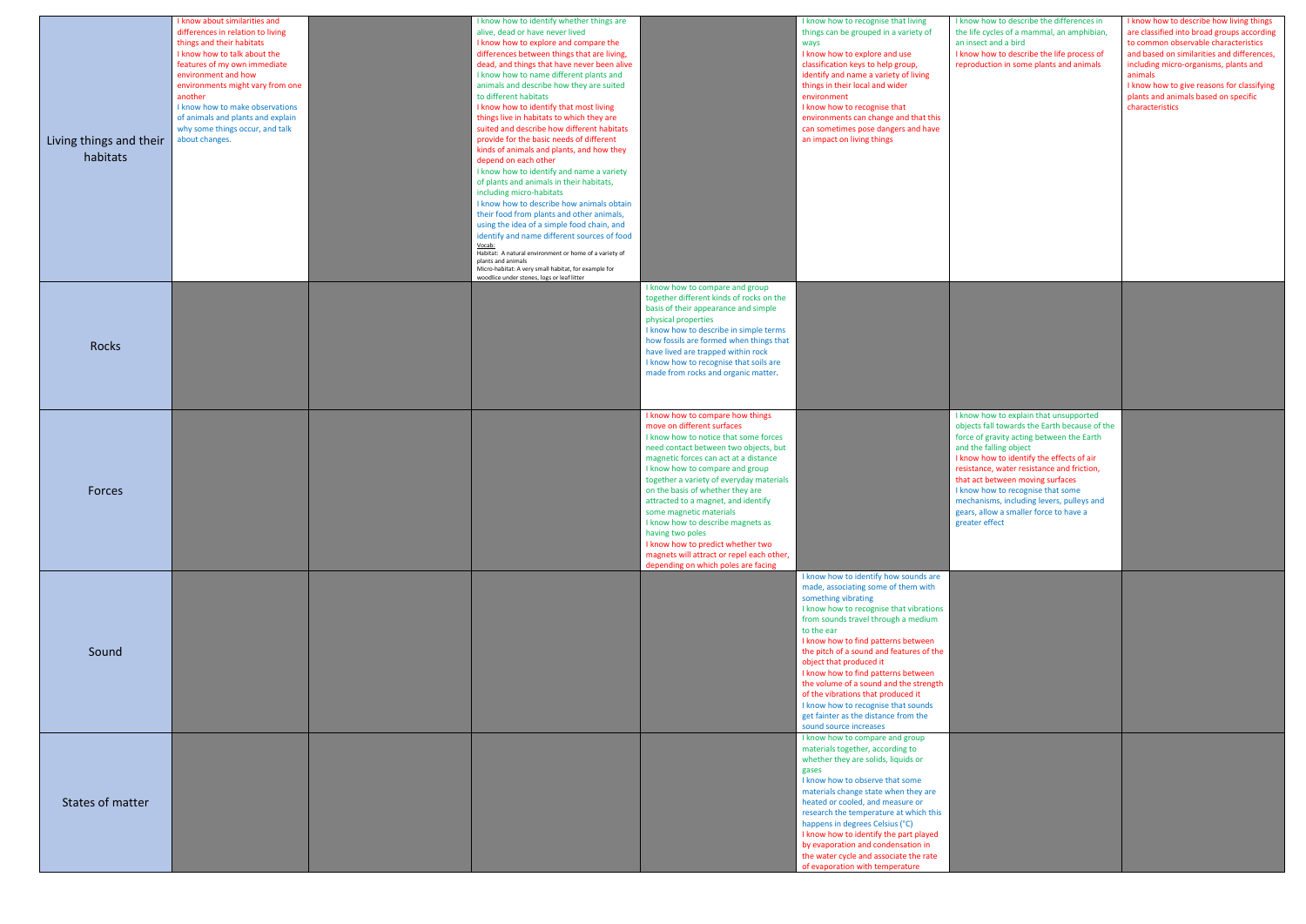| Living things and their<br>habitats | I know about similarities and<br>differences in relation to living<br>things and their habitats<br>I know how to talk about the<br>features of my own immediate<br>environment and how<br>environments might vary from one<br>another<br>I know how to make observations<br>of animals and plants and explain<br>why some things occur, and talk<br>about changes. | I know how to identify whether things are<br>alive, dead or have never lived<br>I know how to explore and compare the<br>differences between things that are living,<br>dead, and things that have never been alive<br>I know how to name different plants and<br>animals and describe how they are suited<br>to different habitats<br>I know how to identify that most living<br>things live in habitats to which they are<br>suited and describe how different habitats<br>provide for the basic needs of different<br>kinds of animals and plants, and how they<br>depend on each other<br>I know how to identify and name a variety<br>of plants and animals in their habitats,<br>including micro-habitats<br>I know how to describe how animals obtain<br>their food from plants and other animals,<br>using the idea of a simple food chain, and<br>identify and name different sources of food<br>Vocab:<br>Habitat: A natural environment or home of a variety of<br>plants and animals<br>Micro-habitat: A very small habitat, for example for<br>woodlice under stones, logs or leaf litter |                                                                                                                                                                                                                                                                                                                                                                                                                                                                                                                                                                  | I know how to recognise that living<br>things can be grouped in a variety of<br>ways<br>I know how to explore and use<br>classification keys to help group,<br>identify and name a variety of living<br>things in their local and wider<br>environment<br>I know how to recognise that<br>environments can change and that this<br>can sometimes pose dangers and have<br>an impact on living things                                                                                                                                              | I know how to<br>the life cycles<br>an insect and<br>I know how to<br>reproduction                                                                                                            |
|-------------------------------------|--------------------------------------------------------------------------------------------------------------------------------------------------------------------------------------------------------------------------------------------------------------------------------------------------------------------------------------------------------------------|--------------------------------------------------------------------------------------------------------------------------------------------------------------------------------------------------------------------------------------------------------------------------------------------------------------------------------------------------------------------------------------------------------------------------------------------------------------------------------------------------------------------------------------------------------------------------------------------------------------------------------------------------------------------------------------------------------------------------------------------------------------------------------------------------------------------------------------------------------------------------------------------------------------------------------------------------------------------------------------------------------------------------------------------------------------------------------------------------------|------------------------------------------------------------------------------------------------------------------------------------------------------------------------------------------------------------------------------------------------------------------------------------------------------------------------------------------------------------------------------------------------------------------------------------------------------------------------------------------------------------------------------------------------------------------|---------------------------------------------------------------------------------------------------------------------------------------------------------------------------------------------------------------------------------------------------------------------------------------------------------------------------------------------------------------------------------------------------------------------------------------------------------------------------------------------------------------------------------------------------|-----------------------------------------------------------------------------------------------------------------------------------------------------------------------------------------------|
| Rocks                               |                                                                                                                                                                                                                                                                                                                                                                    |                                                                                                                                                                                                                                                                                                                                                                                                                                                                                                                                                                                                                                                                                                                                                                                                                                                                                                                                                                                                                                                                                                        | I know how to compare and group<br>together different kinds of rocks on the<br>basis of their appearance and simple<br>physical properties<br>I know how to describe in simple terms<br>how fossils are formed when things that<br>have lived are trapped within rock<br>I know how to recognise that soils are<br>made from rocks and organic matter.                                                                                                                                                                                                           |                                                                                                                                                                                                                                                                                                                                                                                                                                                                                                                                                   |                                                                                                                                                                                               |
| Forces                              |                                                                                                                                                                                                                                                                                                                                                                    |                                                                                                                                                                                                                                                                                                                                                                                                                                                                                                                                                                                                                                                                                                                                                                                                                                                                                                                                                                                                                                                                                                        | I know how to compare how things<br>move on different surfaces<br>I know how to notice that some forces<br>need contact between two objects, but<br>magnetic forces can act at a distance<br>I know how to compare and group<br>together a variety of everyday materials<br>on the basis of whether they are<br>attracted to a magnet, and identify<br>some magnetic materials<br>I know how to describe magnets as<br>having two poles<br>I know how to predict whether two<br>magnets will attract or repel each other,<br>depending on which poles are facing |                                                                                                                                                                                                                                                                                                                                                                                                                                                                                                                                                   | I know how to<br>objects fall to<br>force of gravi<br>and the falling<br>I know how to<br>resistance, wa<br>that act betw<br>I know how to<br>mechanisms,<br>gears, allow a<br>greater effect |
| Sound                               |                                                                                                                                                                                                                                                                                                                                                                    |                                                                                                                                                                                                                                                                                                                                                                                                                                                                                                                                                                                                                                                                                                                                                                                                                                                                                                                                                                                                                                                                                                        |                                                                                                                                                                                                                                                                                                                                                                                                                                                                                                                                                                  | I know how to identify how sounds are<br>made, associating some of them with<br>something vibrating<br>I know how to recognise that vibrations<br>from sounds travel through a medium<br>to the ear<br>I know how to find patterns between<br>the pitch of a sound and features of the<br>object that produced it<br>I know how to find patterns between<br>the volume of a sound and the strength<br>of the vibrations that produced it<br>I know how to recognise that sounds<br>get fainter as the distance from the<br>sound source increases |                                                                                                                                                                                               |
| States of matter                    |                                                                                                                                                                                                                                                                                                                                                                    |                                                                                                                                                                                                                                                                                                                                                                                                                                                                                                                                                                                                                                                                                                                                                                                                                                                                                                                                                                                                                                                                                                        |                                                                                                                                                                                                                                                                                                                                                                                                                                                                                                                                                                  | I know how to compare and group<br>materials together, according to<br>whether they are solids, liquids or<br>gases<br>I know how to observe that some<br>materials change state when they are<br>heated or cooled, and measure or<br>research the temperature at which this<br>happens in degrees Celsius (°C)<br>I know how to identify the part played<br>by evaporation and condensation in<br>the water cycle and associate the rate<br>of evaporation with temperature                                                                      |                                                                                                                                                                                               |

| I know how to describe the differences in<br>the life cycles of a mammal, an amphibian,<br>an insect and a bird<br>I know how to describe the life process of<br>reproduction in some plants and animals                                                                                                                                                                                                                                    | I know how to describe how living things<br>are classified into broad groups according<br>to common observable characteristics<br>and based on similarities and differences,<br>including micro-organisms, plants and<br>animals<br>I know how to give reasons for classifying<br>plants and animals based on specific<br>characteristics |
|---------------------------------------------------------------------------------------------------------------------------------------------------------------------------------------------------------------------------------------------------------------------------------------------------------------------------------------------------------------------------------------------------------------------------------------------|-------------------------------------------------------------------------------------------------------------------------------------------------------------------------------------------------------------------------------------------------------------------------------------------------------------------------------------------|
|                                                                                                                                                                                                                                                                                                                                                                                                                                             |                                                                                                                                                                                                                                                                                                                                           |
| I know how to explain that unsupported<br>objects fall towards the Earth because of the<br>force of gravity acting between the Earth<br>and the falling object<br>I know how to identify the effects of air<br>resistance, water resistance and friction,<br>that act between moving surfaces<br>I know how to recognise that some<br>mechanisms, including levers, pulleys and<br>gears, allow a smaller force to have a<br>greater effect |                                                                                                                                                                                                                                                                                                                                           |